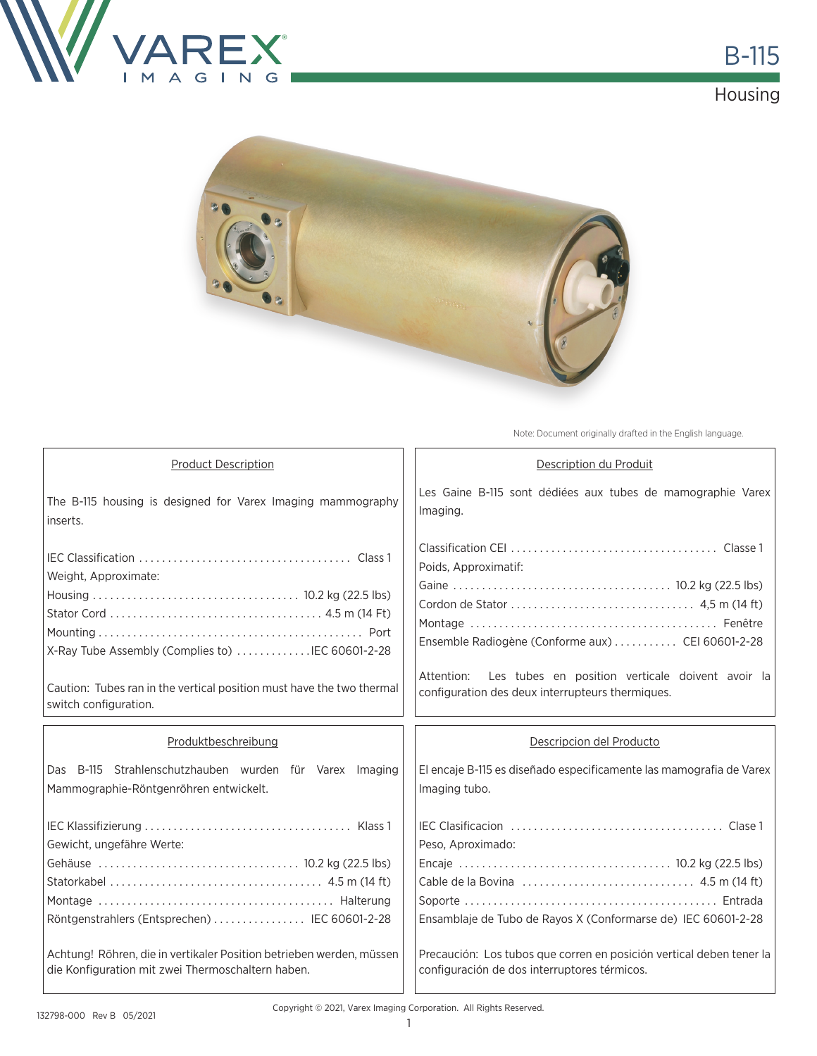





Note: Document originally drafted in the English language.

| <b>Product Description</b>                                                                        | Description du Produit                                                                                                                      |  |  |
|---------------------------------------------------------------------------------------------------|---------------------------------------------------------------------------------------------------------------------------------------------|--|--|
| The B-115 housing is designed for Varex Imaging mammography<br>inserts.                           | Les Gaine B-115 sont dédiées aux tubes de mamographie Varex<br>Imaging.                                                                     |  |  |
| Weight, Approximate:<br>X-Ray Tube Assembly (Complies to) IEC 60601-2-28                          | Poids, Approximatif:<br>Ensemble Radiogène (Conforme aux)  CEI 60601-2-28<br>Les tubes en position verticale doivent avoir la<br>Attention: |  |  |
| Caution: Tubes ran in the vertical position must have the two thermal<br>switch configuration.    | configuration des deux interrupteurs thermiques.                                                                                            |  |  |
| Produktbeschreibung                                                                               | Descripcion del Producto                                                                                                                    |  |  |
|                                                                                                   |                                                                                                                                             |  |  |
| Das B-115 Strahlenschutzhauben wurden für Varex Imaging<br>Mammographie-Röntgenröhren entwickelt. | El encaje B-115 es diseñado especificamente las mamografia de Varex<br>Imaging tubo.                                                        |  |  |
| Gewicht, ungefähre Werte:<br>Röntgenstrahlers (Entsprechen)  IEC 60601-2-28                       | Peso, Aproximado:<br>Ensamblaje de Tubo de Rayos X (Conformarse de) IEC 60601-2-28                                                          |  |  |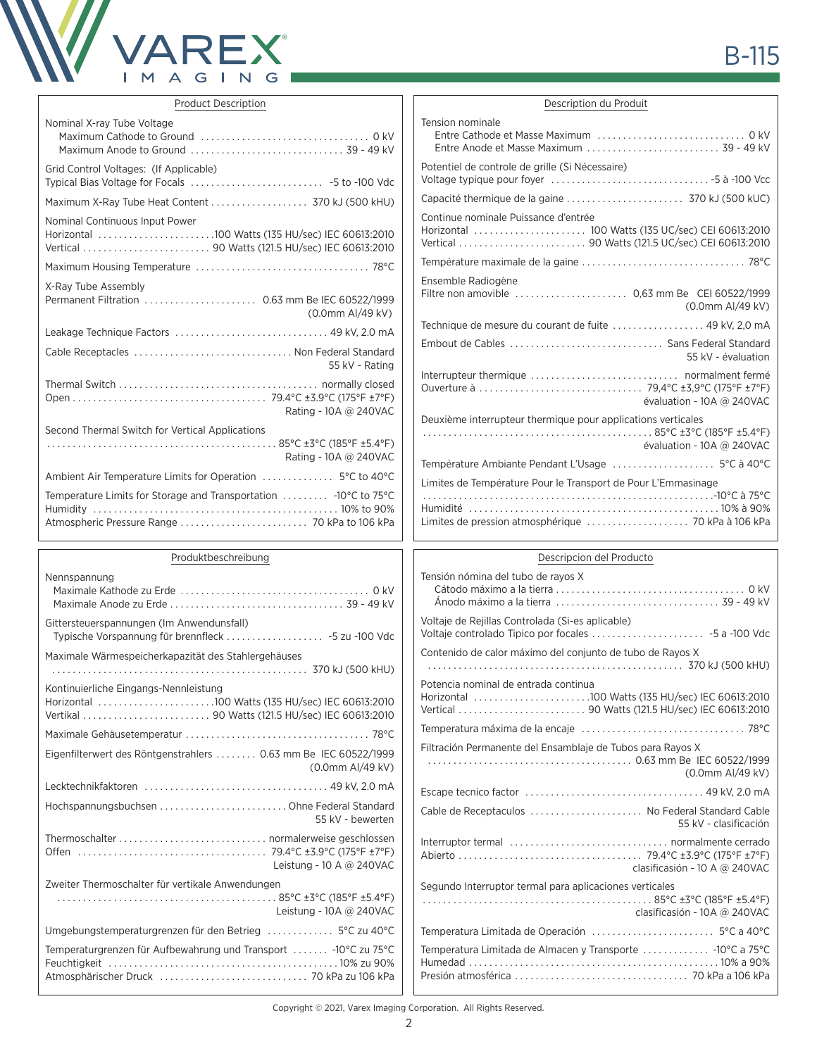

| <b>Product Description</b>                                                          | Description du Produit                                                                    |
|-------------------------------------------------------------------------------------|-------------------------------------------------------------------------------------------|
| Nominal X-ray Tube Voltage                                                          | Tension nominale                                                                          |
|                                                                                     |                                                                                           |
|                                                                                     | Entre Anode et Masse Maximum  39 - 49 kV                                                  |
| Grid Control Voltages: (If Applicable)                                              | Potentiel de controle de grille (Si Nécessaire)                                           |
|                                                                                     |                                                                                           |
|                                                                                     |                                                                                           |
| Nominal Continuous Input Power                                                      | Continue nominale Puissance d'entrée                                                      |
| Horizontal 100 Watts (135 HU/sec) IEC 60613:2010                                    |                                                                                           |
|                                                                                     |                                                                                           |
|                                                                                     |                                                                                           |
| X-Ray Tube Assembly                                                                 | Ensemble Radiogène                                                                        |
| Permanent Filtration  0.63 mm Be IEC 60522/1999                                     | Filtre non amovible  0,63 mm Be CEI 60522/1999                                            |
| (0.0mm Al/49 kV)                                                                    | (0.0mm Al/49 kV)                                                                          |
|                                                                                     | Technique de mesure du courant de fuite  49 kV, 2,0 mA                                    |
| Cable Receptacles  Non Federal Standard                                             | Embout de Cables  Sans Federal Standard                                                   |
| 55 kV - Rating                                                                      | 55 kV - évaluation                                                                        |
|                                                                                     |                                                                                           |
|                                                                                     |                                                                                           |
| Rating - 10A @ 240VAC                                                               | évaluation - 10A @ 240VAC                                                                 |
| Second Thermal Switch for Vertical Applications                                     | Deuxième interrupteur thermique pour applications verticales<br>évaluation - 10A @ 240VAC |
| Rating - 10A @ 240VAC                                                               |                                                                                           |
|                                                                                     | Limites de Température Pour le Transport de Pour L'Emmasinage                             |
| Temperature Limits for Storage and Transportation  -10°C to 75°C                    |                                                                                           |
|                                                                                     |                                                                                           |
|                                                                                     |                                                                                           |
| Produktbeschreibung                                                                 | Descripcion del Producto                                                                  |
| Nennspannung                                                                        | Tensión nómina del tubo de rayos X                                                        |
|                                                                                     |                                                                                           |
|                                                                                     |                                                                                           |
| Gittersteuerspannungen (Im Anwendunsfall)                                           | Voltaje de Rejillas Controlada (Si-es aplicable)                                          |
| Typische Vorspannung für brennfleck  -5 zu -100 Vdc                                 |                                                                                           |
| Maximale Wärmespeicherkapazität des Stahlergehäuses                                 | Contenido de calor máximo del conjunto de tubo de Rayos X                                 |
|                                                                                     |                                                                                           |
| Kontinuierliche Eingangs-Nennleistung                                               | Potencia nominal de entrada continua                                                      |
| Horizontal 100 Watts (135 HU/sec) IEC 60613:2010                                    |                                                                                           |
|                                                                                     |                                                                                           |
|                                                                                     |                                                                                           |
| Eigenfilterwert des Röntgenstrahlers  0.63 mm Be IEC 60522/1999<br>(0.0mm Al/49 kV) | Filtración Permanente del Ensamblaje de Tubos para Rayos X<br>(0.0mm Al/49 kV)            |
|                                                                                     |                                                                                           |
| Hochspannungsbuchsen  Ohne Federal Standard                                         | Cable de Receptaculos  No Federal Standard Cable                                          |
| 55 kV - bewerten                                                                    | 55 kV - clasificación                                                                     |
|                                                                                     |                                                                                           |
|                                                                                     |                                                                                           |

Copyright © 2021, Varex Imaging Corporation. All Rights Reserved.

Leistung - 10 A @ 240VAC

Leistung - 10A @ 240VAC

Zweiter Thermoschalter für vertikale Anwendungen

. 85°C ±3°C (185°F ±5.4°F)

Umgebungstemperaturgrenzen für den Betrieg .............. 5°C zu 40°C Temperaturgrenzen für Aufbewahrung und Transport ....... -10°C zu 75°C Feuchtigkeit . 10% zu 90% Atmosphärischer Druck . 70 kPa zu 106 kPa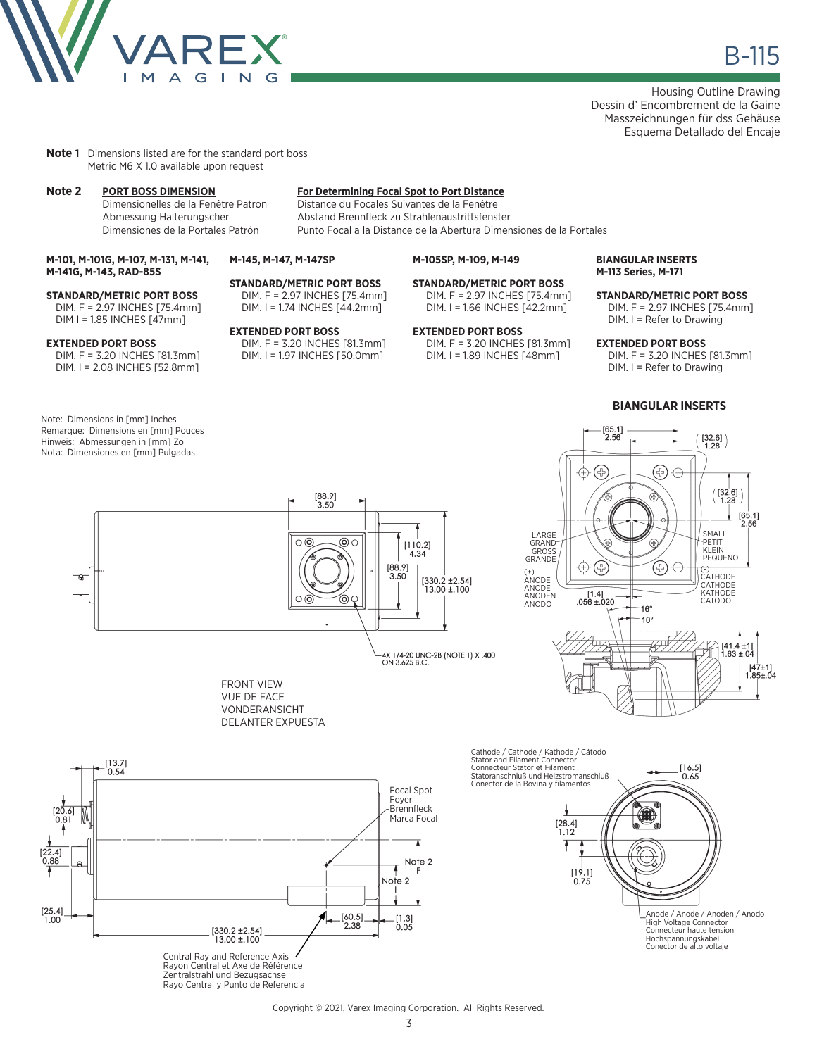

Housing Outline Drawing Dessin d' Encombrement de la Gaine Masszeichnungen für dss Gehäuse Esquema Detallado del Encaje

**Note 1** Dimensions listed are for the standard port boss Metric M6 X 1.0 available upon request

**M-101, M-101G, M-107, M-131, M-141,** 

**STANDARD/METRIC PORT BOSS** DIM. F = 2.97 INCHES [75.4mm] DIM I = 1.85 INCHES [47mm]

DIM. F = 3.20 INCHES [81.3mm] DIM. I = 2.08 INCHES [52.8mm]

**M-141G, M-143, RAD-85S**

**EXTENDED PORT BOSS**

Note: Dimensions in [mm] Inches Remarque: Dimensions en [mm] Pouces Hinweis: Abmessungen in [mm] Zoll Nota: Dimensiones en [mm] Pulgadas

# **Note 2 PORT BOSS DIMENSION For Determining Focal Spot to Port Distance**

Distance du Focales Suivantes de la Fenêtre Abmessung Halterungscher Abstand Brennfleck zu Strahlenaustrittsfenster Dimensiones de la Portales Patrón Punto Focal a la Distance de la Abertura Dimensiones de la Portales

#### **M-145, M-147, M-147SP**

**EXTENDED PORT BOSS**

**STANDARD/METRIC PORT BOSS** DIM. F = 2.97 INCHES [75.4mm] DIM. I = 1.74 INCHES [44.2mm]

DIM. F = 3.20 INCHES [81.3mm] DIM. I = 1.97 INCHES [50.0mm]

## **M-105SP, M-109, M-149**

#### **STANDARD/METRIC PORT BOSS** DIM. F = 2.97 INCHES [75.4mm]

DIM. I = 1.66 INCHES [42.2mm] **EXTENDED PORT BOSS** DIM. F = 3.20 INCHES [81.3mm]

DIM. I = 1.89 INCHES [48mm]

#### **BIANGULAR INSERTS M-113 Series, M-171**

**STANDARD/METRIC PORT BOSS** DIM. F = 2.97 INCHES [75.4mm] DIM. I = Refer to Drawing

#### **EXTENDED PORT BOSS**

DIM. F = 3.20 INCHES [81.3mm] DIM. I = Refer to Drawing

### **BIANGULAR INSERTS**



 $[65.1]$ <br>2.56







Cathode / Cathode / Kathode / Cátodo Stator and Filament Connector Connecteur Stator et Filament  $[16.5]$ Statoranschnluß und Heizstromanschluß 0.65 Conector de la Bovina y filamentos  $\begin{array}{c} \left[ 28.4\right] \\ 1.12 \end{array}$ T  $[19.1]$  $0.75$ Anode / Anode / Anoden / Ánodo High Voltage Connector Connecteur haute tension Hochspannungskabel Conector de alto voltaje

Rayo Central y Punto de Referencia

#### Copyright © 2021, Varex Imaging Corporation. All Rights Reserved.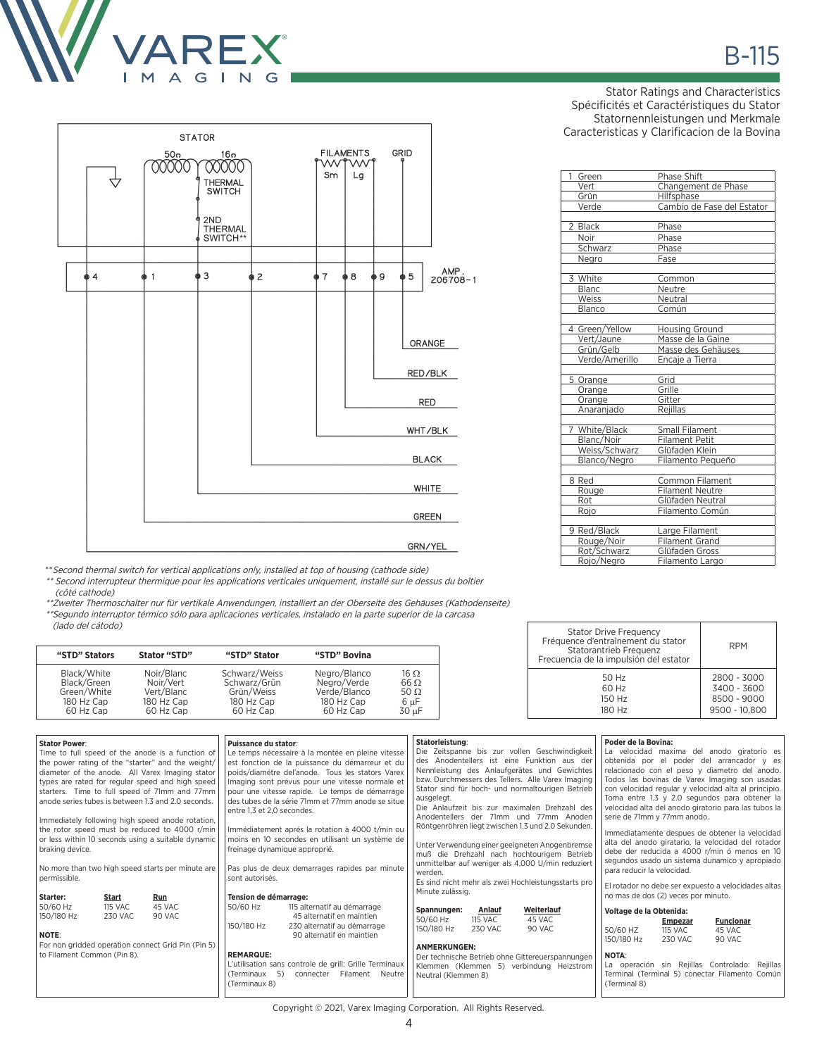



GRN/YEL

\*\*Second thermal switch for vertical applications only, installed at top of housing (cathode side)

\*\* Second interrupteur thermique pour les applications verticales uniquement, installé sur le dessus du boîtier (côté cathode)

\*\*Zweiter Thermoschalter nur für vertikale Anwendungen, installiert an der Oberseite des Gehäuses (Kathodenseite) \*\*Segundo interruptor térmico sólo para aplicaciones verticales, instalado en la parte superior de la carcasa (lado del cátodo)

| "STD" Stators                                                        | Stator "STD"                                                     | "STD" Stator                                                           | "STD" Bovina                                                           |                                                          |
|----------------------------------------------------------------------|------------------------------------------------------------------|------------------------------------------------------------------------|------------------------------------------------------------------------|----------------------------------------------------------|
| Black/White<br>Black/Green<br>Green/White<br>180 Hz Cap<br>60 Hz Cap | Noir/Blanc<br>Noir/Vert<br>Vert/Blanc<br>180 Hz Cap<br>60 Hz Cap | Schwarz/Weiss<br>Schwarz/Grün<br>Grün/Weiss<br>180 Hz Cap<br>60 Hz Cap | Negro/Blanco<br>Negro/Verde<br>Verde/Blanco<br>180 Hz Cap<br>60 Hz Cap | 16 Ω<br>$66 \Omega$<br>50 $\Omega$<br>$6 \mu F$<br>30 uF |

| <b>Stator Power:</b><br>Time to full speed of the anode is a function of<br>the power rating of the "starter" and the weight/<br>diameter of the anode. All Varex Imaging stator<br>types are rated for regular speed and high speed<br>starters. Time to full speed of 71mm and 77mm<br>anode series tubes is between 1.3 and 2.0 seconds.<br>Immediately following high speed anode rotation,<br>the rotor speed must be reduced to 4000 r/min<br>or less within 10 seconds using a suitable dynamic<br>braking device.<br>No more than two high speed starts per minute are |                                    | Puissance du stator:<br>Le temps nécessaire à la montée en pleine vitesse<br>est fonction de la puissance du démarreur et du<br>poids/diamétre del'anode. Tous les stators Varex<br>Imaging sont prévus pour une vitesse normale et<br>pour une vitesse rapide. Le temps de démarrage<br>des tubes de la série 71mm et 77mm anode se situe<br>entre 1.3 et 2.0 secondes.<br>Immédiatement aprés la rotation à 4000 t/min ou<br>moins en 10 secondes en utilisant un système de<br>freinage dynamique approprié.<br>Pas plus de deux demarrages rapides par minute<br>sont autorisés. |                                                                                                       | Statorleistung:<br>Die Zeitspanne bis zur vollen Geschwindigkeit<br>des Anodentellers ist eine Funktion aus der<br>Nennleistung des Anlaufgerätes und Gewichtes<br>bzw. Durchmessers des Tellers. Alle Varex Imaging<br>Stator sind für hoch- und normaltourigen Betrieb<br>ausgelegt.<br>Die Anlaufzeit bis zur maximalen Drehzahl des<br>Anodentellers der 71mm und 77mm Anoden<br>Röntgenröhren liegt zwischen 1.3 und 2.0 Sekunden.<br>Unter Verwendung einer geeigneten Anogenbremse<br>muß die Drehzahl nach hochtourigem Betrieb<br>unmittelbar auf weniger als 4,000 U/min reduziert<br>werden. |                                                                                                         | Poder de la Bovina:<br>La velocidad maxima del anodo giratorio es<br>obtenida por el poder del arrancador y es<br>relacionado con el peso y diametro del anodo.<br>Todos las bovinas de Varex Imaging son usadas<br>con velocidad regular y velocidad alta al principio.<br>Toma entre 1.3 y 2.0 segundos para obtener la<br>velocidad alta del anodo giratorio para las tubos la<br>serie de 71mm y 77mm anodo.<br>Immediatamente despues de obtener la velocidad<br>alta del anodo giratario, la velocidad del rotador<br>debe der reducida a 4000 r/min ó menos en 10<br>segundos usado un sistema dunamico y apropiado<br>para reducir la velocidad. |                                                                                                                                                                                       |                                                                                   |                                                                                    |                                                                                                                                                                                                 |
|--------------------------------------------------------------------------------------------------------------------------------------------------------------------------------------------------------------------------------------------------------------------------------------------------------------------------------------------------------------------------------------------------------------------------------------------------------------------------------------------------------------------------------------------------------------------------------|------------------------------------|--------------------------------------------------------------------------------------------------------------------------------------------------------------------------------------------------------------------------------------------------------------------------------------------------------------------------------------------------------------------------------------------------------------------------------------------------------------------------------------------------------------------------------------------------------------------------------------|-------------------------------------------------------------------------------------------------------|---------------------------------------------------------------------------------------------------------------------------------------------------------------------------------------------------------------------------------------------------------------------------------------------------------------------------------------------------------------------------------------------------------------------------------------------------------------------------------------------------------------------------------------------------------------------------------------------------------|---------------------------------------------------------------------------------------------------------|----------------------------------------------------------------------------------------------------------------------------------------------------------------------------------------------------------------------------------------------------------------------------------------------------------------------------------------------------------------------------------------------------------------------------------------------------------------------------------------------------------------------------------------------------------------------------------------------------------------------------------------------------------|---------------------------------------------------------------------------------------------------------------------------------------------------------------------------------------|-----------------------------------------------------------------------------------|------------------------------------------------------------------------------------|-------------------------------------------------------------------------------------------------------------------------------------------------------------------------------------------------|
| permissible.<br>Starter:<br>50/60 Hz<br>150/180 Hz<br>NOTE:<br>to Filament Common (Pin 8).                                                                                                                                                                                                                                                                                                                                                                                                                                                                                     | Start<br><b>115 VAC</b><br>230 VAC | Run<br>45 VAC<br>90 VAC<br>For non gridded operation connect Grid Pin (Pin 5)                                                                                                                                                                                                                                                                                                                                                                                                                                                                                                        | Tension de démarrage:<br>50/60 Hz<br>150/180 Hz<br><b>REMARQUE:</b><br>(Terminaux 5)<br>(Terminaux 8) | 115 alternatif au démarrage<br>45 alternatif en maintien<br>230 alternatif au démarrage<br>90 alternatif en maintien<br>L'utilisation sans controle de grill: Grille Terminaux<br>Filament<br>Neutre<br>connecter                                                                                                                                                                                                                                                                                                                                                                                       | Minute zulässig.<br>Spannungen:<br>50/60 Hz<br>150/180 Hz<br><b>ANMERKUNGEN:</b><br>Neutral (Klemmen 8) | Anlauf<br><b>115 VAC</b><br><b>230 VAC</b>                                                                                                                                                                                                                                                                                                                                                                                                                                                                                                                                                                                                               | Es sind nicht mehr als zwei Hochleistungsstarts pro<br>Weiterlauf<br>45 VAC<br>90 VAC<br>Der technische Betrieb ohne Gittereuerspannungen<br>Klemmen (Klemmen 5) verbindung Heizstrom | Voltage de la Obtenida:<br>50/60 HZ<br>150/180 Hz<br><b>NOTA:</b><br>(Terminal 8) | no mas de dos (2) veces por minuto.<br><b>Empezar</b><br><b>115 VAC</b><br>230 VAC | El rotador no debe ser expuesto a velocidades altas<br><b>Funcionar</b><br>45 VAC<br>90 VAC<br>La operación sin Rejillas Controlado: Rejillas<br>Terminal (Terminal 5) conectar Filamento Común |

Stator Ratings and Characteristics Spécificités et Caractéristiques du Stator Statornennleistungen und Merkmale Caracteristicas y Clarificacion de la Bovina

| 1<br>Green            | Phase Shift                |
|-----------------------|----------------------------|
| Vert                  | Changement de Phase        |
| Grün                  | Hilfsphase                 |
| Verde                 | Cambio de Fase del Estator |
|                       |                            |
| 2 Black               | Phase                      |
| Noir                  | Phase                      |
| Schwarz               | Phase                      |
| Negro                 | Fase                       |
|                       |                            |
| 3 White               | Common                     |
| <b>Blanc</b><br>Weiss | Neutre                     |
| Blanco                | Neutral<br>Común           |
|                       |                            |
| 4 Green/Yellow        | <b>Housing Ground</b>      |
| Vert/Jaune            | Masse de la Gaine          |
| Grün/Gelb             | Masse des Gehäuses         |
| Verde/Amerillo        | Encaje a Tierra            |
|                       | Grid                       |
| 5 Orange<br>Orange    | Grille                     |
| Orange                | Gitter                     |
| Anaranjado            | Rejillas                   |
|                       |                            |
| 7 White/Black         | Small Filament             |
| Blanc/Noir            | Filament Petit             |
| Weiss/Schwarz         | Glüfaden Klein             |
| Blanco/Negro          | Filamento Pequeño          |
| 8 Red                 | Common Filament            |
| Rouge                 | <b>Filament Neutre</b>     |
| Rot                   | Glüfaden Neutral           |
| Rojo                  | Filamento Común            |
|                       |                            |
| 9 Red/Black           | Large Filament             |
| Rouge/Noir            | <b>Filament Grand</b>      |
| Rot/Schwarz           | Glüfaden Gross             |
| Rojo/Negro            | Filamento Largo            |

Stator Drive Frequency Fréquence d'entraînement du stator Statorantrieb Frequenz Frecuencia de la impulsión del estator

> 50 Hz 60 Hz 150 Hz 180 Hz

RPM

2800 - 3000 3400 - 3600 8500 - 9000 9500 - 10,800

Copyright © 2021, Varex Imaging Corporation. All Rights Reserved.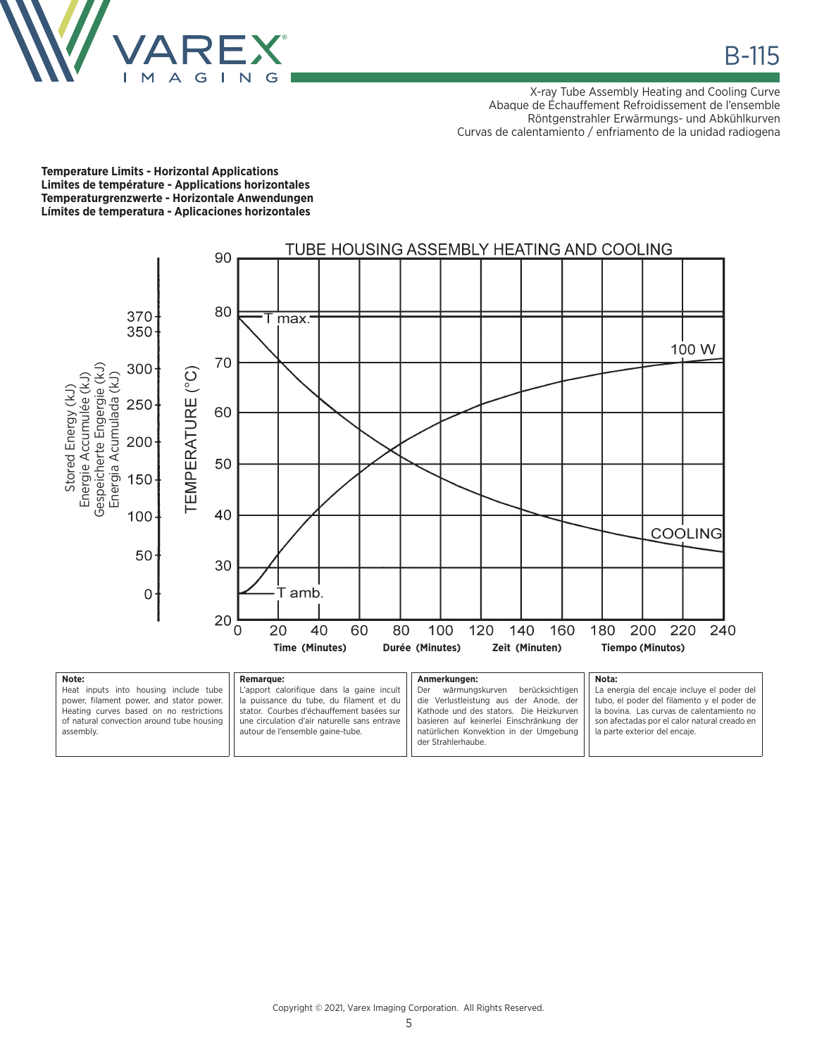

X-ray Tube Assembly Heating and Cooling Curve Abaque de Échauffement Refroidissement de l'ensemble Röntgenstrahler Erwärmungs- und Abkühlkurven Curvas de calentamiento / enfriamento de la unidad radiogena

**Temperature Limits - Horizontal Applications Limites de température - Applications horizontales Temperaturgrenzwerte - Horizontale Anwendungen Límites de temperatura - Aplicaciones horizontales**